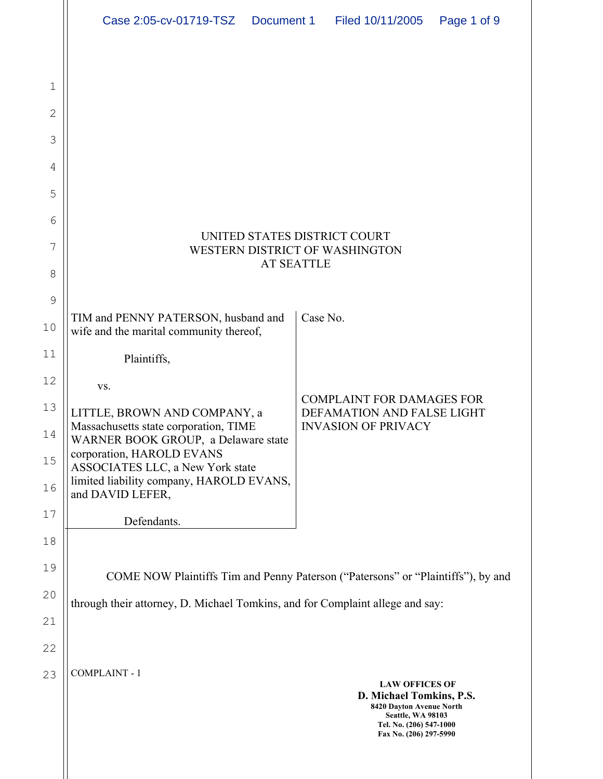|    | Case 2:05-cv-01719-TSZ                                                              | Document 1 |          | Filed 10/11/2005                                                                                                                                        | Page 1 of 9 |  |  |
|----|-------------------------------------------------------------------------------------|------------|----------|---------------------------------------------------------------------------------------------------------------------------------------------------------|-------------|--|--|
|    |                                                                                     |            |          |                                                                                                                                                         |             |  |  |
| 1  |                                                                                     |            |          |                                                                                                                                                         |             |  |  |
| 2  |                                                                                     |            |          |                                                                                                                                                         |             |  |  |
| 3  |                                                                                     |            |          |                                                                                                                                                         |             |  |  |
| 4  |                                                                                     |            |          |                                                                                                                                                         |             |  |  |
| 5  |                                                                                     |            |          |                                                                                                                                                         |             |  |  |
| 6  |                                                                                     |            |          |                                                                                                                                                         |             |  |  |
| 7  | UNITED STATES DISTRICT COURT<br>WESTERN DISTRICT OF WASHINGTON<br><b>AT SEATTLE</b> |            |          |                                                                                                                                                         |             |  |  |
| 8  |                                                                                     |            |          |                                                                                                                                                         |             |  |  |
| 9  |                                                                                     |            |          |                                                                                                                                                         |             |  |  |
| 10 | TIM and PENNY PATERSON, husband and<br>wife and the marital community thereof,      |            | Case No. |                                                                                                                                                         |             |  |  |
| 11 | Plaintiffs,                                                                         |            |          |                                                                                                                                                         |             |  |  |
| 12 | VS.                                                                                 |            |          |                                                                                                                                                         |             |  |  |
| 13 | LITTLE, BROWN AND COMPANY, a                                                        |            |          | <b>COMPLAINT FOR DAMAGES FOR</b><br>DEFAMATION AND FALSE LIGHT                                                                                          |             |  |  |
| 14 | Massachusetts state corporation, TIME<br>WARNER BOOK GROUP, a Delaware state        |            |          | <b>INVASION OF PRIVACY</b>                                                                                                                              |             |  |  |
| 15 | corporation, HAROLD EVANS<br>ASSOCIATES LLC, a New York state                       |            |          |                                                                                                                                                         |             |  |  |
| 16 | limited liability company, HAROLD EVANS,<br>and DAVID LEFER,                        |            |          |                                                                                                                                                         |             |  |  |
| 17 | Defendants.                                                                         |            |          |                                                                                                                                                         |             |  |  |
| 18 |                                                                                     |            |          |                                                                                                                                                         |             |  |  |
| 19 | COME NOW Plaintiffs Tim and Penny Paterson ("Patersons" or "Plaintiffs"), by and    |            |          |                                                                                                                                                         |             |  |  |
| 20 | through their attorney, D. Michael Tomkins, and for Complaint allege and say:       |            |          |                                                                                                                                                         |             |  |  |
| 21 |                                                                                     |            |          |                                                                                                                                                         |             |  |  |
| 22 |                                                                                     |            |          |                                                                                                                                                         |             |  |  |
| 23 | <b>COMPLAINT - 1</b>                                                                |            |          | <b>LAW OFFICES OF</b><br>D. Michael Tomkins, P.S.<br>8420 Dayton Avenue North<br>Seattle, WA 98103<br>Tel. No. (206) 547-1000<br>Fax No. (206) 297-5990 |             |  |  |

 $\parallel$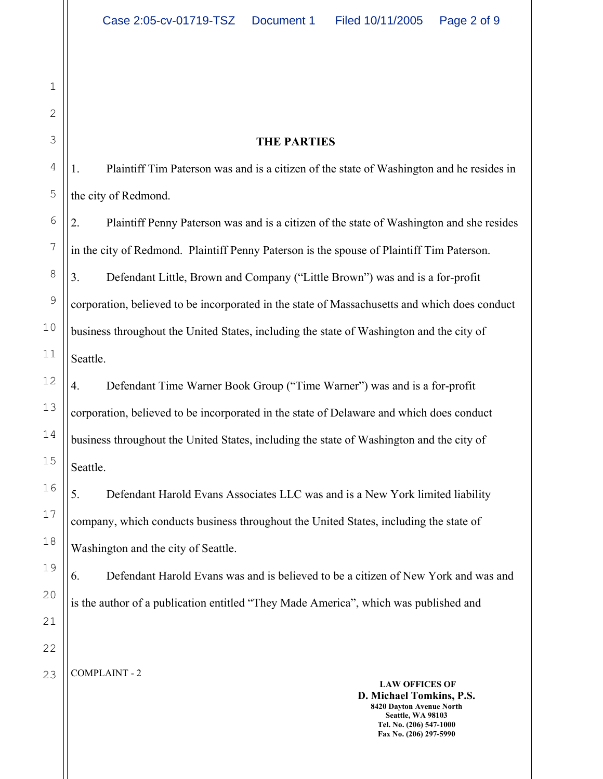#### **THE PARTIES**

1. Plaintiff Tim Paterson was and is a citizen of the state of Washington and he resides in the city of Redmond.

2. Plaintiff Penny Paterson was and is a citizen of the state of Washington and she resides in the city of Redmond. Plaintiff Penny Paterson is the spouse of Plaintiff Tim Paterson. 3. Defendant Little, Brown and Company ("Little Brown") was and is a for-profit corporation, believed to be incorporated in the state of Massachusetts and which does conduct business throughout the United States, including the state of Washington and the city of Seattle.

# 4. Defendant Time Warner Book Group ("Time Warner") was and is a for-profit corporation, believed to be incorporated in the state of Delaware and which does conduct business throughout the United States, including the state of Washington and the city of Seattle.

5. Defendant Harold Evans Associates LLC was and is a New York limited liability company, which conducts business throughout the United States, including the state of Washington and the city of Seattle.

6. Defendant Harold Evans was and is believed to be a citizen of New York and was and is the author of a publication entitled "They Made America", which was published and

COMPLAINT - 2

**LAW OFFICES OF D. Michael Tomkins, P.S. 8420 Dayton Avenue North Seattle, WA 98103 Tel. No. (206) 547-1000 Fax No. (206) 297-5990**

1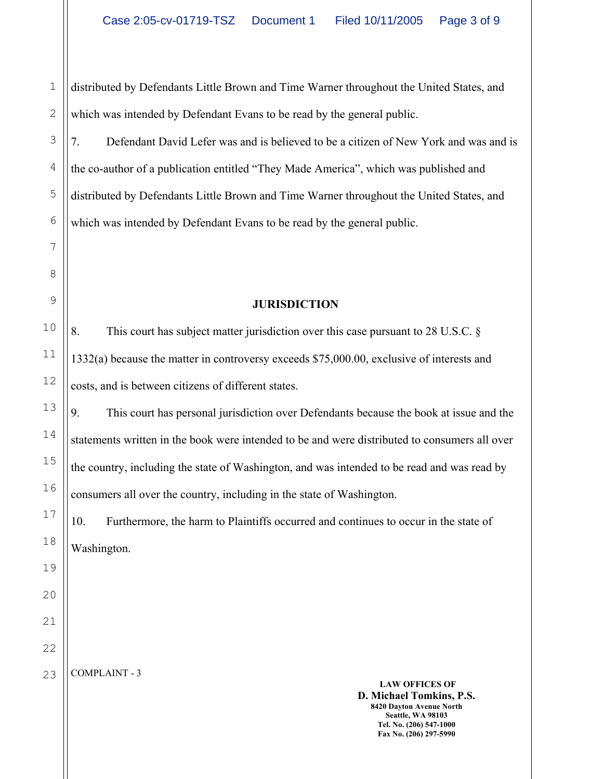1 2 distributed by Defendants Little Brown and Time Warner throughout the United States, and which was intended by Defendant Evans to be read by the general public.

7. Defendant David Lefer was and is believed to be a citizen of New York and was and is the co-author of a publication entitled "They Made America", which was published and distributed by Defendants Little Brown and Time Warner throughout the United States, and which was intended by Defendant Evans to be read by the general public.

### **JURISDICTION**

8. This court has subject matter jurisdiction over this case pursuant to 28 U.S.C. § 1332(a) because the matter in controversy exceeds \$75,000.00, exclusive of interests and costs, and is between citizens of different states.

9. This court has personal jurisdiction over Defendants because the book at issue and the statements written in the book were intended to be and were distributed to consumers all over the country, including the state of Washington, and was intended to be read and was read by consumers all over the country, including in the state of Washington.

10. Furthermore, the harm to Plaintiffs occurred and continues to occur in the state of Washington.

22 23

3

4

5

6

7

8

9

10

11

12

13

14

15

16

17

18

19

20

21

COMPLAINT - 3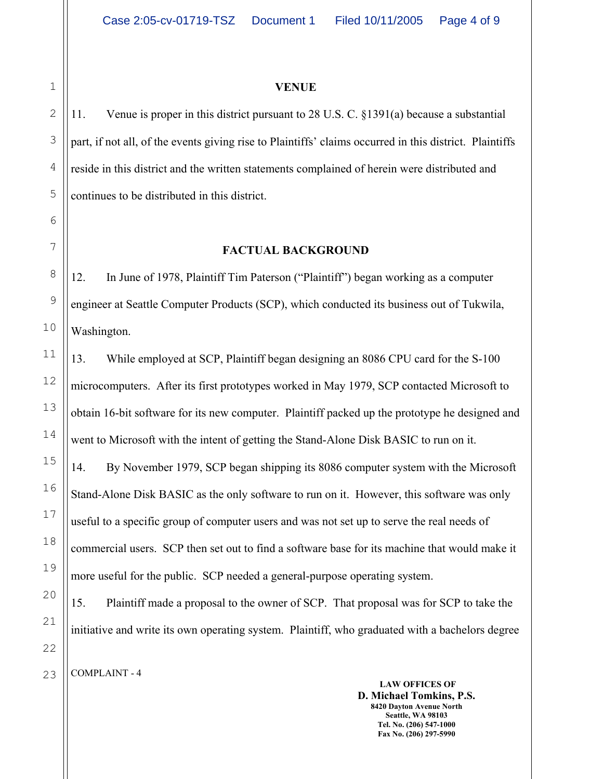#### **VENUE**

2 3 4 5 11. Venue is proper in this district pursuant to 28 U.S. C. §1391(a) because a substantial part, if not all, of the events giving rise to Plaintiffs' claims occurred in this district. Plaintiffs reside in this district and the written statements complained of herein were distributed and continues to be distributed in this district.

#### **FACTUAL BACKGROUND**

12. In June of 1978, Plaintiff Tim Paterson ("Plaintiff") began working as a computer engineer at Seattle Computer Products (SCP), which conducted its business out of Tukwila, Washington.

13. While employed at SCP, Plaintiff began designing an 8086 CPU card for the S-100 microcomputers. After its first prototypes worked in May 1979, SCP contacted Microsoft to obtain 16-bit software for its new computer. Plaintiff packed up the prototype he designed and went to Microsoft with the intent of getting the Stand-Alone Disk BASIC to run on it.

14. By November 1979, SCP began shipping its 8086 computer system with the Microsoft Stand-Alone Disk BASIC as the only software to run on it. However, this software was only useful to a specific group of computer users and was not set up to serve the real needs of commercial users. SCP then set out to find a software base for its machine that would make it more useful for the public. SCP needed a general-purpose operating system.

15. Plaintiff made a proposal to the owner of SCP. That proposal was for SCP to take the initiative and write its own operating system. Plaintiff, who graduated with a bachelors degree

COMPLAINT - 4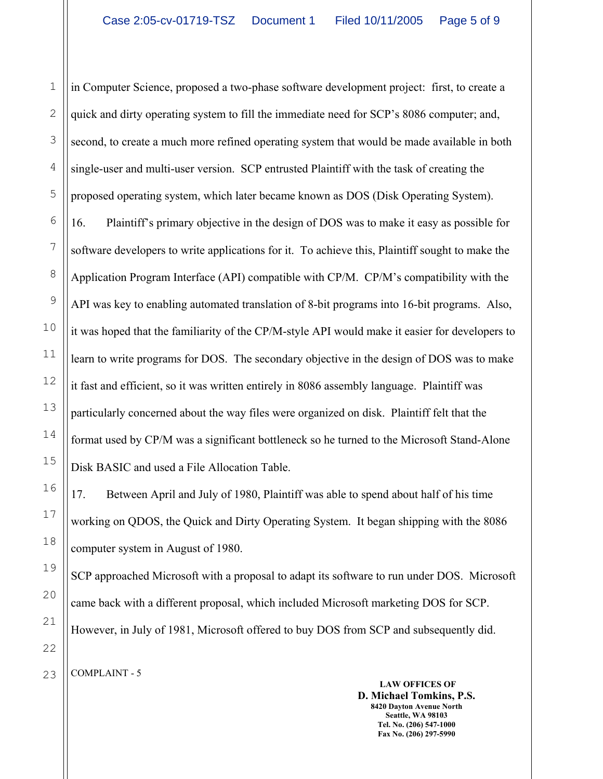in Computer Science, proposed a two-phase software development project: first, to create a quick and dirty operating system to fill the immediate need for SCP's 8086 computer; and, second, to create a much more refined operating system that would be made available in both single-user and multi-user version. SCP entrusted Plaintiff with the task of creating the proposed operating system, which later became known as DOS (Disk Operating System).

16. Plaintiff's primary objective in the design of DOS was to make it easy as possible for software developers to write applications for it. To achieve this, Plaintiff sought to make the Application Program Interface (API) compatible with CP/M. CP/M's compatibility with the API was key to enabling automated translation of 8-bit programs into 16-bit programs. Also, it was hoped that the familiarity of the CP/M-style API would make it easier for developers to learn to write programs for DOS. The secondary objective in the design of DOS was to make it fast and efficient, so it was written entirely in 8086 assembly language. Plaintiff was particularly concerned about the way files were organized on disk. Plaintiff felt that the format used by CP/M was a significant bottleneck so he turned to the Microsoft Stand-Alone Disk BASIC and used a File Allocation Table.

17. Between April and July of 1980, Plaintiff was able to spend about half of his time working on QDOS, the Quick and Dirty Operating System. It began shipping with the 8086 computer system in August of 1980.

SCP approached Microsoft with a proposal to adapt its software to run under DOS. Microsoft came back with a different proposal, which included Microsoft marketing DOS for SCP. However, in July of 1981, Microsoft offered to buy DOS from SCP and subsequently did.

1

2

3

COMPLAINT - 5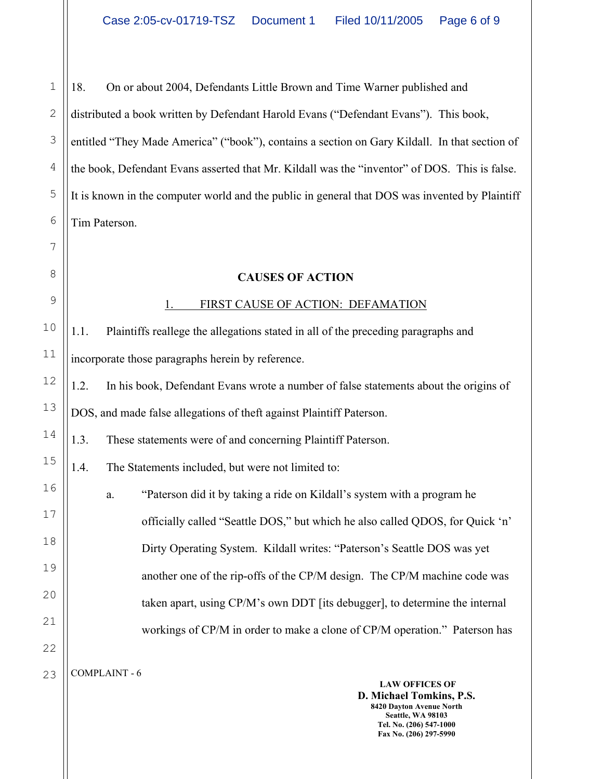1 2 3 4 5 6 18. On or about 2004, Defendants Little Brown and Time Warner published and distributed a book written by Defendant Harold Evans ("Defendant Evans"). This book, entitled "They Made America" ("book"), contains a section on Gary Kildall. In that section of the book, Defendant Evans asserted that Mr. Kildall was the "inventor" of DOS. This is false. It is known in the computer world and the public in general that DOS was invented by Plaintiff Tim Paterson.

### **CAUSES OF ACTION**

### 1. FIRST CAUSE OF ACTION: DEFAMATION

1.1. Plaintiffs reallege the allegations stated in all of the preceding paragraphs and incorporate those paragraphs herein by reference.

1.2. In his book, Defendant Evans wrote a number of false statements about the origins of DOS, and made false allegations of theft against Plaintiff Paterson.

1.3. These statements were of and concerning Plaintiff Paterson.

1.4. The Statements included, but were not limited to:

a. "Paterson did it by taking a ride on Kildall's system with a program he officially called "Seattle DOS," but which he also called QDOS, for Quick 'n' Dirty Operating System. Kildall writes: "Paterson's Seattle DOS was yet another one of the rip-offs of the CP/M design. The CP/M machine code was taken apart, using CP/M's own DDT [its debugger], to determine the internal workings of CP/M in order to make a clone of CP/M operation." Paterson has

COMPLAINT - 6 23

7

8

9

10

11

12

13

14

15

16

17

18

19

20

21

22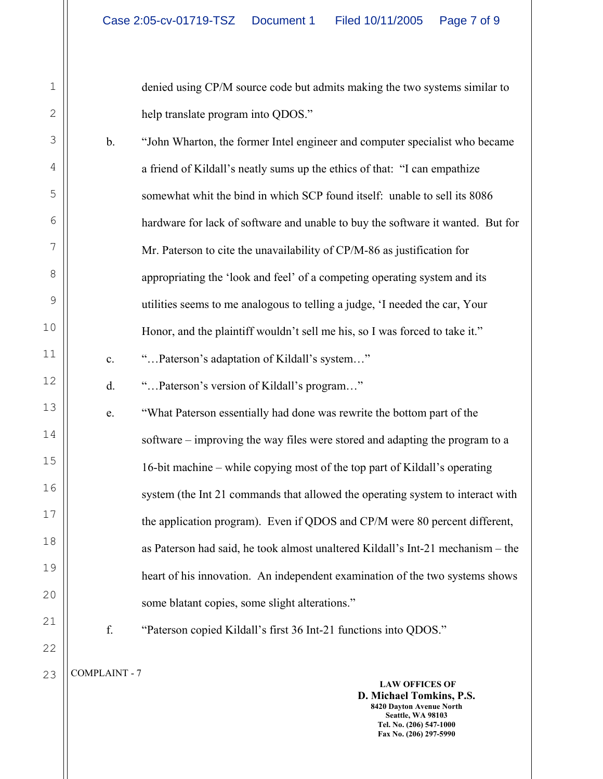denied using CP/M source code but admits making the two systems similar to help translate program into QDOS."

b. "John Wharton, the former Intel engineer and computer specialist who became a friend of Kildall's neatly sums up the ethics of that: "I can empathize somewhat whit the bind in which SCP found itself: unable to sell its 8086 hardware for lack of software and unable to buy the software it wanted. But for Mr. Paterson to cite the unavailability of CP/M-86 as justification for appropriating the 'look and feel' of a competing operating system and its utilities seems to me analogous to telling a judge, 'I needed the car, Your Honor, and the plaintiff wouldn't sell me his, so I was forced to take it." c. "…Paterson's adaptation of Kildall's system…" d. "…Paterson's version of Kildall's program…"

e. "What Paterson essentially had done was rewrite the bottom part of the software – improving the way files were stored and adapting the program to a 16-bit machine – while copying most of the top part of Kildall's operating system (the Int 21 commands that allowed the operating system to interact with the application program). Even if QDOS and CP/M were 80 percent different, as Paterson had said, he took almost unaltered Kildall's Int-21 mechanism – the heart of his innovation. An independent examination of the two systems shows some blatant copies, some slight alterations."

f. "Paterson copied Kildall's first 36 Int-21 functions into QDOS."

COMPLAINT - 7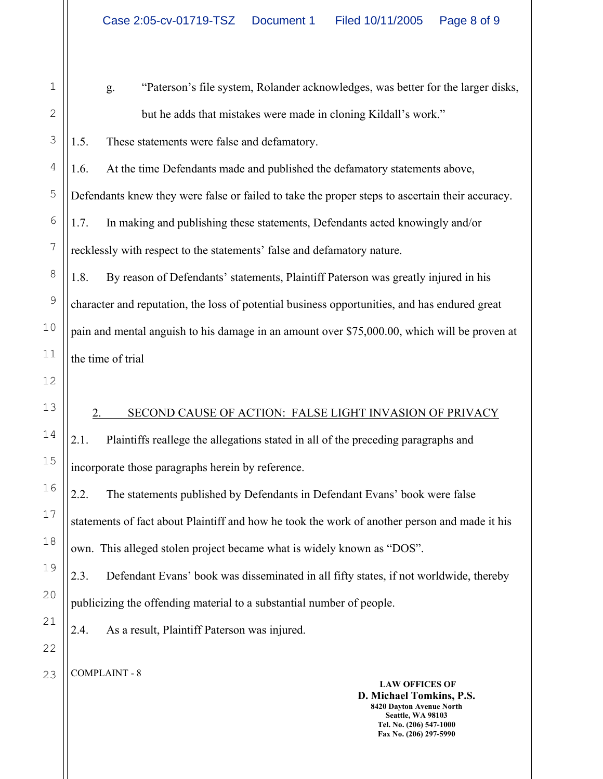|     | $\overline{\phantom{a}}$ |
|-----|--------------------------|
|     | 3                        |
|     | $\overline{4}$           |
|     | 5                        |
|     | 6                        |
|     | $\overline{7}$           |
|     | 8                        |
|     | 9                        |
| 10  |                          |
| 11  |                          |
| 12  |                          |
| 13  |                          |
| 14  |                          |
| 15  |                          |
| 16  |                          |
| 17  |                          |
| l 8 | ξ                        |
|     | 19                       |
| 20  |                          |
|     | $\frac{21}{2}$           |
|     | $\overline{2}2$          |

1

g. "Paterson's file system, Rolander acknowledges, was better for the larger disks, but he adds that mistakes were made in cloning Kildall's work."

1.5. These statements were false and defamatory.

1.6. At the time Defendants made and published the defamatory statements above, Defendants knew they were false or failed to take the proper steps to ascertain their accuracy. 1.7. In making and publishing these statements, Defendants acted knowingly and/or recklessly with respect to the statements' false and defamatory nature.

1.8. By reason of Defendants' statements, Plaintiff Paterson was greatly injured in his character and reputation, the loss of potential business opportunities, and has endured great pain and mental anguish to his damage in an amount over \$75,000.00, which will be proven at the time of trial

## 2. SECOND CAUSE OF ACTION: FALSE LIGHT INVASION OF PRIVACY

2.1. Plaintiffs reallege the allegations stated in all of the preceding paragraphs and incorporate those paragraphs herein by reference.

2.2. The statements published by Defendants in Defendant Evans' book were false statements of fact about Plaintiff and how he took the work of another person and made it his own. This alleged stolen project became what is widely known as "DOS".

2.3. Defendant Evans' book was disseminated in all fifty states, if not worldwide, thereby publicizing the offending material to a substantial number of people.

2.4. As a result, Plaintiff Paterson was injured.

COMPLAINT - 8

23